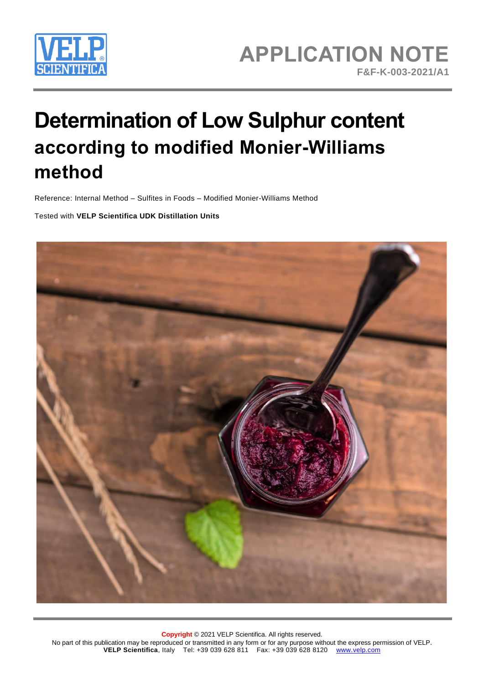

# **Determination of Low Sulphur content according to modified Monier-Williams method**

Reference: Internal Method – Sulfites in Foods – Modified Monier-Williams Method

Tested with **VELP Scientifica UDK Distillation Units**

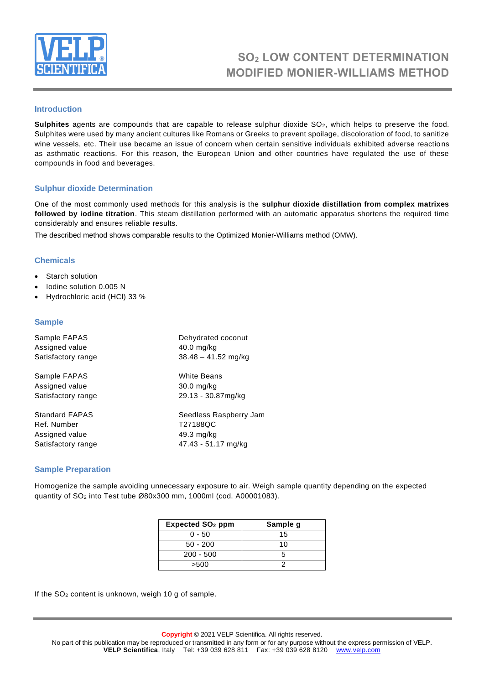

# **SO<sup>2</sup> LOW CONTENT DETERMINATION MODIFIED MONIER-WILLIAMS METHOD**

### **Introduction**

Sulphites agents are compounds that are capable to release sulphur dioxide SO<sub>2</sub>, which helps to preserve the food. Sulphites were used by many ancient cultures like Romans or Greeks to prevent spoilage, discoloration of food, to sanitize wine vessels, etc. Their use became an issue of concern when certain sensitive individuals exhibited adverse reactions as asthmatic reactions. For this reason, the European Union and other countries have regulated the use of these compounds in food and beverages.

#### **Sulphur dioxide Determination**

One of the most commonly used methods for this analysis is the **sulphur dioxide distillation from complex matrixes followed by iodine titration**. This steam distillation performed with an automatic apparatus shortens the required time considerably and ensures reliable results.

The described method shows comparable results to the Optimized Monier-Williams method (OMW).

## **Chemicals**

- Starch solution
- Iodine solution 0.005 N
- Hydrochloric acid (HCl) 33 %

#### **Sample**

| Sample FAPAS          | Dehydrated coconut     |
|-----------------------|------------------------|
| Assigned value        | $40.0$ mg/kg           |
| Satisfactory range    | $38.48 - 41.52$ mg/kg  |
| Sample FAPAS          | White Beans            |
| Assigned value        | 30.0 mg/kg             |
| Satisfactory range    | 29.13 - 30.87mg/kg     |
| <b>Standard FAPAS</b> | Seedless Raspberry Jam |
| Ref. Number           | T27188QC               |
| Assigned value        | 49.3 mg/kg             |
| Satisfactory range    | 47.43 - 51.17 mg/kg    |

#### **Sample Preparation**

Homogenize the sample avoiding unnecessary exposure to air. Weigh sample quantity depending on the expected quantity of SO<sup>2</sup> into Test tube Ø80x300 mm, 1000ml (cod. A00001083).

| <b>Expected SO<sub>2</sub> ppm</b> | Sample g |
|------------------------------------|----------|
| 0 - 50                             | 15       |
| $50 - 200$                         | 10       |
| $200 - 500$                        |          |
| >500                               |          |

If the SO<sub>2</sub> content is unknown, weigh 10 g of sample.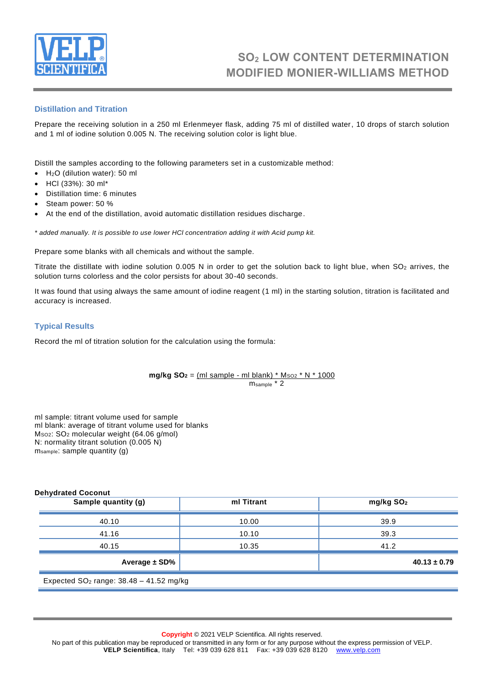

# **SO<sup>2</sup> LOW CONTENT DETERMINATION MODIFIED MONIER-WILLIAMS METHOD**

## **Distillation and Titration**

Prepare the receiving solution in a 250 ml Erlenmeyer flask, adding 75 ml of distilled water, 10 drops of starch solution and 1 ml of iodine solution 0.005 N. The receiving solution color is light blue.

Distill the samples according to the following parameters set in a customizable method:

- H2O (dilution water): 50 ml
- HCl (33%): 30 ml\*
- Distillation time: 6 minutes
- Steam power: 50 %
- At the end of the distillation, avoid automatic distillation residues discharge.

*\* added manually. It is possible to use lower HCl concentration adding it with Acid pump kit.*

Prepare some blanks with all chemicals and without the sample.

Titrate the distillate with iodine solution  $0.005$  N in order to get the solution back to light blue, when  $SO<sub>2</sub>$  arrives, the solution turns colorless and the color persists for about 30-40 seconds.

It was found that using always the same amount of iodine reagent (1 ml) in the starting solution, titration is facilitated and accuracy is increased.

#### **Typical Results**

Record the ml of titration solution for the calculation using the formula:

**mg/kg SO**<sub>2</sub> =  $(ml \text{ sample - } ml \text{ blank}) * M_{SO2} * N * 1000$ msample \* 2

ml sample: titrant volume used for sample ml blank: average of titrant volume used for blanks MSO2: SO<sup>2</sup> molecular weight (64.06 g/mol) N: normality titrant solution (0.005 N) msample: sample quantity (g)

| Sample quantity (g) | ml Titrant | mg/kg SO <sub>2</sub> |
|---------------------|------------|-----------------------|
| 40.10               | 10.00      | 39.9                  |
| 41.16               | 10.10      | 39.3                  |
| 40.15               | 10.35      | 41.2                  |
| Average $\pm$ SD%   |            | $40.13 \pm 0.79$      |

**Copyright** © 2021 VELP Scientifica. All rights reserved.

No part of this publication may be reproduced or transmitted in any form or for any purpose without the express permission of VELP. **VELP Scientifica**, Italy Tel: +39 039 628 811 Fax: +39 039 628 8120 [www.velp.com](http://www.velp.com/)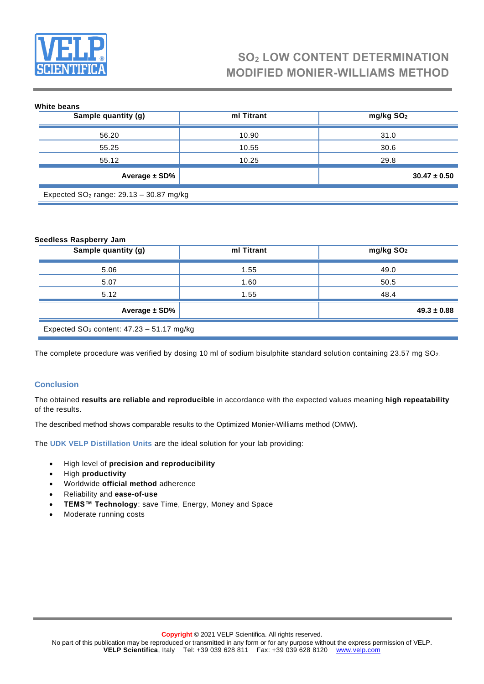

# **SO<sup>2</sup> LOW CONTENT DETERMINATION MODIFIED MONIER-WILLIAMS METHOD**

| White beans                               |            |                       |  |
|-------------------------------------------|------------|-----------------------|--|
| Sample quantity (g)                       | ml Titrant | mg/kg SO <sub>2</sub> |  |
|                                           |            |                       |  |
| 56.20                                     | 10.90      | 31.0                  |  |
| 55.25                                     | 10.55      | 30.6                  |  |
| 55.12                                     | 10.25      | 29.8                  |  |
| Average ± SD%                             |            | $30.47 \pm 0.50$      |  |
| Expected $SO2$ range: 29.13 - 30.87 mg/kg |            |                       |  |

#### **Seedless Raspberry Jam**

| Sample quantity (g)                           | ml Titrant | mg/kg SO <sub>2</sub> |  |
|-----------------------------------------------|------------|-----------------------|--|
| 5.06                                          | 1.55       | 49.0                  |  |
| 5.07                                          | 1.60       | 50.5                  |  |
| 5.12                                          | 1.55       | 48.4                  |  |
| Average $\pm$ SD%                             |            | $49.3 \pm 0.88$       |  |
| Expected $SO2$ content: $47.23 - 51.17$ mg/kg |            |                       |  |

The complete procedure was verified by dosing 10 ml of sodium bisulphite standard solution containing 23.57 mg SO<sub>2</sub>.

#### **Conclusion**

The obtained **results are reliable and reproducible** in accordance with the expected values meaning **high repeatability** of the results.

The described method shows comparable results to the Optimized Monier-Williams method (OMW).

The **[UDK VELP Distillation Units](https://www.velp.com/en-ww/distillation-units.aspx)** are the ideal solution for your lab providing:

- High level of **precision and reproducibility**
- High **productivity**
- Worldwide **official method** adherence
- Reliability and **ease-of-use**
- **TEMS™ Technology**: save Time, Energy, Money and Space
- Moderate running costs

No part of this publication may be reproduced or transmitted in any form or for any purpose without the express permission of VELP. **VELP Scientifica**, Italy Tel: +39 039 628 811 Fax: +39 039 628 8120 [www.velp.com](http://www.velp.com/)